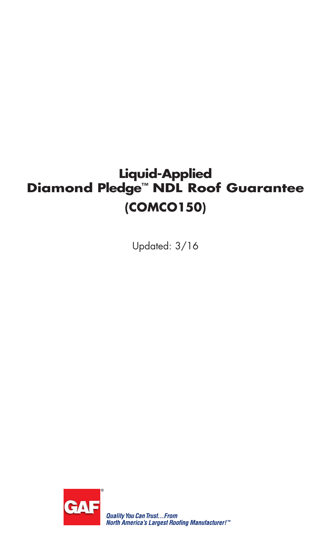# **Liquid-Applied Diamond Pledge™ NDL Roof Guarantee (COMCO150)**

Updated: 3/16